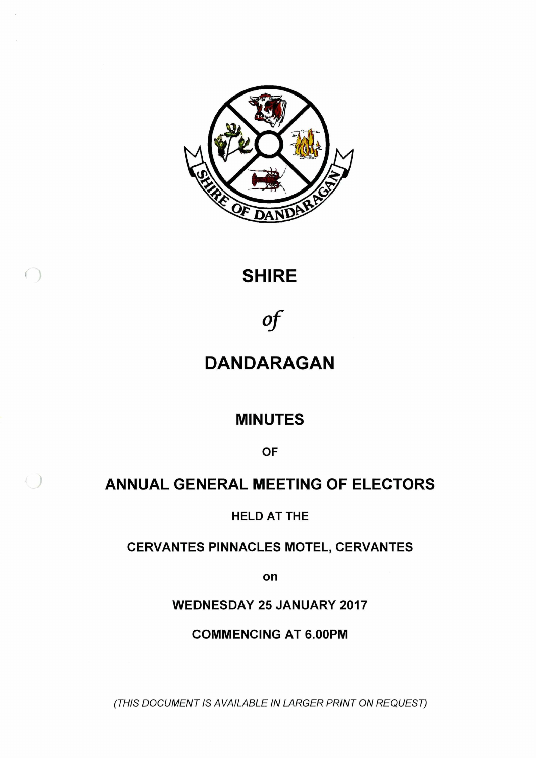

### **SHIRE**

 $( )$ 

 $( )$ 

# *of*

### **DANDARAGAN**

### **MINUTES**

**OF**

### **ANNUAL GENERAL MEETING OF ELECTORS**

**HELD AT THE**

**CERVANTES PINNACLES MOTEL, CERVANTES**

**on**

**WEDNESDAY 25 JANUARY 2017**

**COMMENCING AT 6.00PM**

*(THIS DOCUMENT IS AVAILABLE IN LARGER PRINT ON REQUEST)*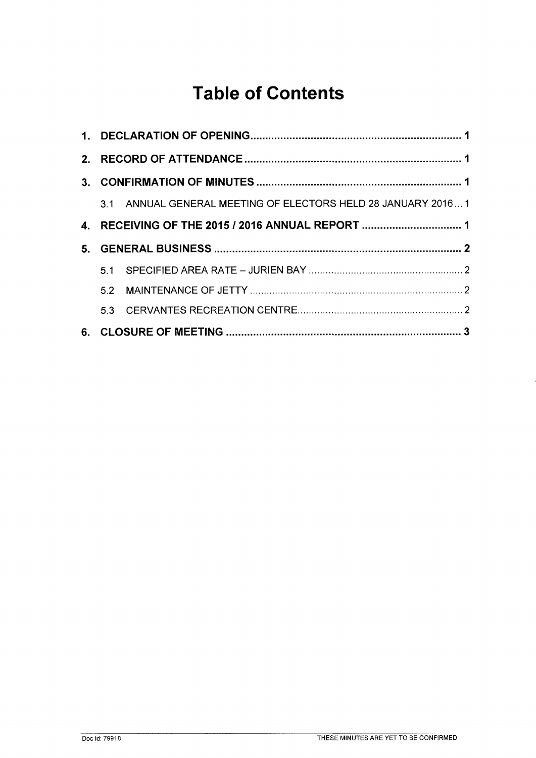## **Table of Contents**

|  | 3.1 ANNUAL GENERAL MEETING OF ELECTORS HELD 28 JANUARY 20161 |  |
|--|--------------------------------------------------------------|--|
|  | 4. RECEIVING OF THE 2015 / 2016 ANNUAL REPORT  1             |  |
|  |                                                              |  |
|  |                                                              |  |
|  |                                                              |  |
|  |                                                              |  |
|  |                                                              |  |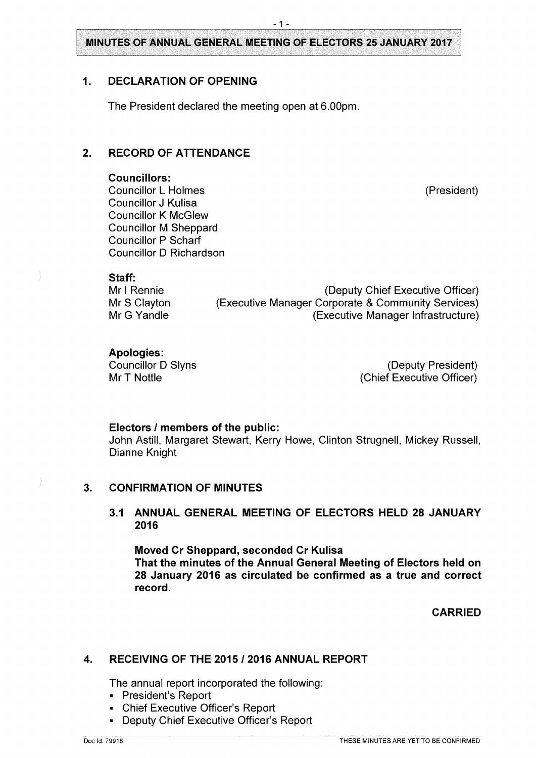**MINUTES OF ANNUAL GENERAL MEETING OF ELECTORS 25 JANUARY 2017**

#### <span id="page-2-0"></span>**1. DECLARATION OF OPENING**

The President declared the meeting open at 6.00pm.

#### **2. RECORD OF ATTENDANCE**

#### **Councillors:**

Councillor L Holmes (President) Councillor J Kulisa Councillor K McGlew Councillor M Sheppard Councillor P Scharf Councillor D Richardson

#### **Staff:**

Mr <sup>I</sup> Rennie (Deputy Chief Executive Officer) Mr S Clayton (Executive Manager Corporate & Community Services) Mr G Yandle **(Executive Manager Infrastructure)** 

### **Apologies:**

Councillor D Slyns (Deputy President) Mr T Nottle **Matter Controllering Controllering Controllering (Chief Executive Officer)** 

#### **Electors / members of the public:**

John Astill, Margaret Stewart, Kerry Howe, Clinton Strugnell, Mickey Russell, Dianne Knight

#### <span id="page-2-1"></span>**3. CONFIRMATION OF MINUTES**

#### **3.1 ANNUAL GENERAL MEETING OF ELECTORS HELD 28 JANUARY 2016**

**Moved Cr Sheppard, seconded Cr Kulisa That the minutes of the Annual General Meeting of Electors held on 28 January 2016 as circulated be confirmed as a true and correct record.**

**CARRIED**

#### <span id="page-2-2"></span>**4. RECEIVING OF THE 2015 / 2016 ANNUAL REPORT**

The annual report incorporated the following:

- President's Report
- Chief Executive Officer's Report
- Deputy Chief Executive Officer's Report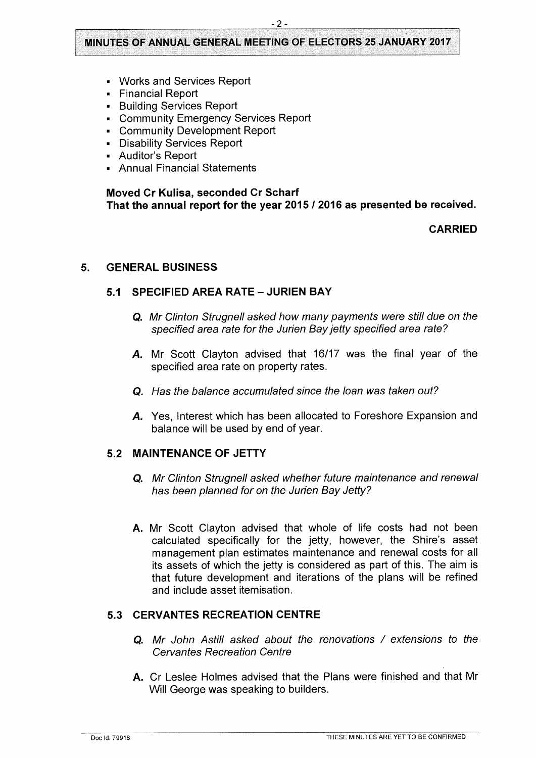#### **MINUTES OF ANNUAL GENERAL MEETING OF ELECTORS 25 JANUARY 2017**

- Works and Services Report
- **Financial Report**
- Building Services Report
- \* Community Emergency Services Report
- Community Development Report
- Disability Services Report
- « Auditor's Report
- « Annual Financial Statements

#### **Moved Cr Kulisa, seconded Cr Scharf That the annual report for the year 2015 / 2016 as presented be received.**

#### **CARRIED**

#### <span id="page-3-1"></span><span id="page-3-0"></span>**5. GENERAL BUSINESS**

#### **5.1 SPECIFIED AREA RATE - JURIEN BAY**

- **Q.** *Mr Clinton Strugnell asked how many payments were still due on the specified area rate for the Jurien Bayjetty specified area rate?*
- *A.* Mr Scott Clayton advised that 16/17 was the final year of the specified area rate on property rates.
- **Q.** *Has the balance accumulated since the loan was taken out?*
- *A.* Yes, Interest which has been allocated to Foreshore Expansion and balance will be used by end of year.

#### <span id="page-3-2"></span>**5.2 MAINTENANCE OF JETTY**

- **Q.** *Mr Clinton Strugnell asked whether future maintenance and renewal has been planned for on the Jurien Bay Jetty?*
- **A.** Mr Scott Clayton advised that whole of life costs had not been calculated specifically for the jetty, however, the Shire's asset management plan estimates maintenance and renewal costs for all its assets of which the jetty is considered as part of this. The aim is that future development and iterations of the plans will be refined and include asset itemisation.

#### <span id="page-3-3"></span>**5.3 CERVANTES RECREATION CENTRE**

- **Q.** *Mr John Astill asked about the renovations / extensions to the Cervantes Recreation Centre*
- **A.** Cr Leslee Holmes advised that the Plans were finished and that Mr Will George was speaking to builders.